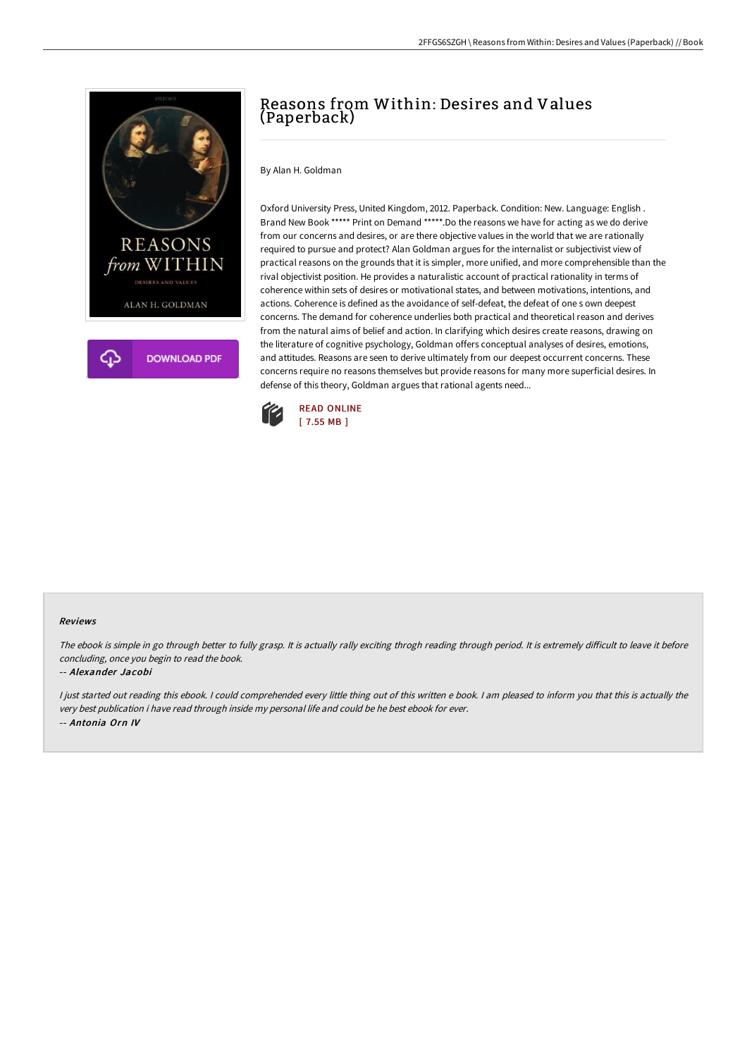

# Reasons from Within: Desires and Values (Paperback)

By Alan H. Goldman

Oxford University Press, United Kingdom, 2012. Paperback. Condition: New. Language: English . Brand New Book \*\*\*\*\* Print on Demand \*\*\*\*\*.Do the reasons we have for acting as we do derive from our concerns and desires, or are there objective values in the world that we are rationally required to pursue and protect? Alan Goldman argues for the internalist or subjectivist view of practical reasons on the grounds that it is simpler, more unified, and more comprehensible than the rival objectivist position. He provides a naturalistic account of practical rationality in terms of coherence within sets of desires or motivational states, and between motivations, intentions, and actions. Coherence is defined as the avoidance of self-defeat, the defeat of one s own deepest concerns. The demand for coherence underlies both practical and theoretical reason and derives from the natural aims of belief and action. In clarifying which desires create reasons, drawing on the literature of cognitive psychology, Goldman offers conceptual analyses of desires, emotions, and attitudes. Reasons are seen to derive ultimately from our deepest occurrent concerns. These concerns require no reasons themselves but provide reasons for many more superficial desires. In defense of this theory, Goldman argues that rational agents need...



#### Reviews

The ebook is simple in go through better to fully grasp. It is actually rally exciting throgh reading through period. It is extremely difficult to leave it before concluding, once you begin to read the book.

### -- Alexander Jacobi

<sup>I</sup> just started out reading this ebook. <sup>I</sup> could comprehended every little thing out of this written <sup>e</sup> book. <sup>I</sup> am pleased to inform you that this is actually the very best publication i have read through inside my personal life and could be he best ebook for ever. -- Antonia Orn IV